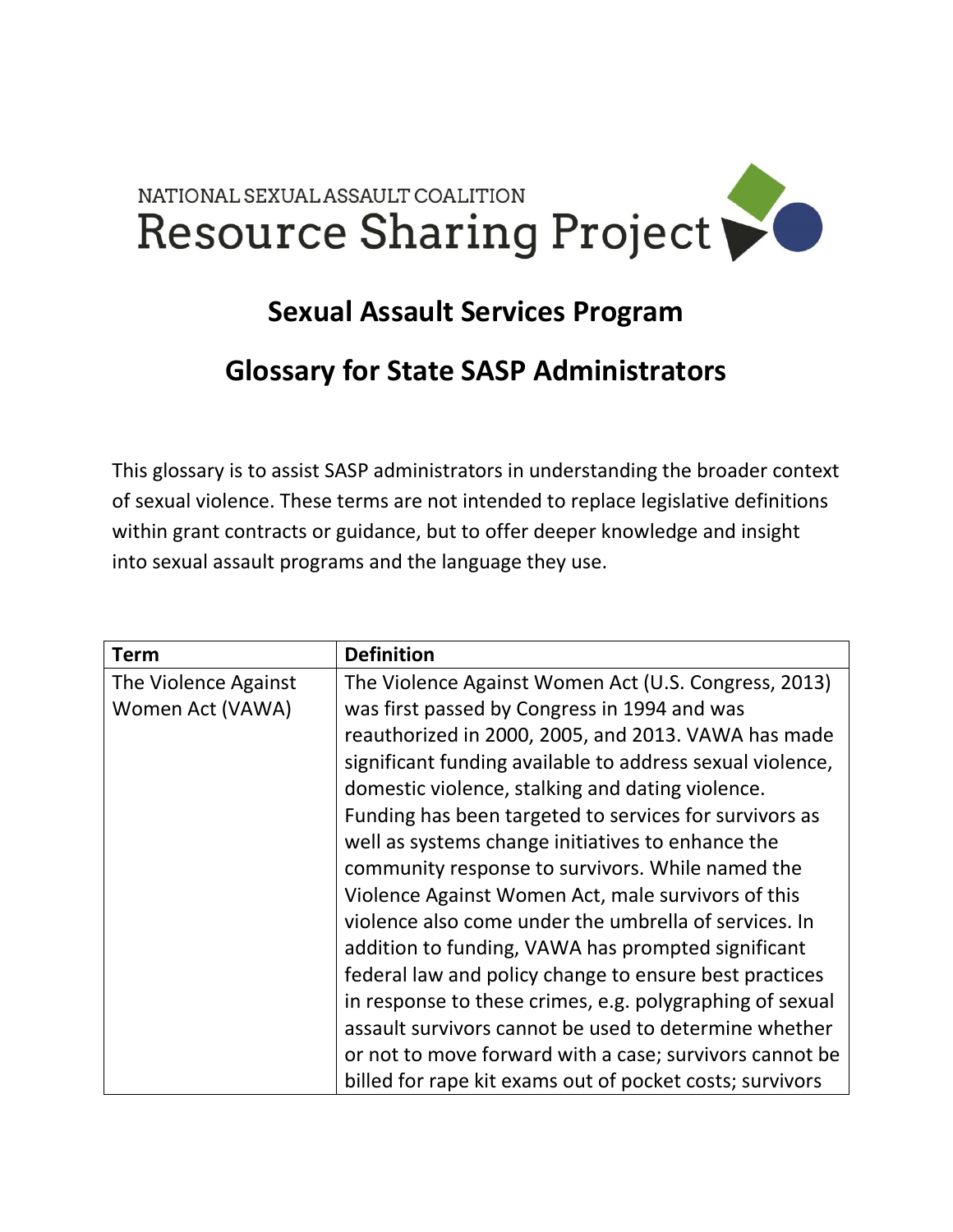## NATIONAL SEXUAL ASSAULT COALITION Resource Sharing Project

## **Sexual Assault Services Program**

## **Glossary for State SASP Administrators**

This glossary is to assist SASP administrators in understanding the broader context of sexual violence. These terms are not intended to replace legislative definitions within grant contracts or guidance, but to offer deeper knowledge and insight into sexual assault programs and the language they use.

| <b>Term</b>          | <b>Definition</b>                                         |
|----------------------|-----------------------------------------------------------|
| The Violence Against | The Violence Against Women Act (U.S. Congress, 2013)      |
| Women Act (VAWA)     | was first passed by Congress in 1994 and was              |
|                      | reauthorized in 2000, 2005, and 2013. VAWA has made       |
|                      | significant funding available to address sexual violence, |
|                      | domestic violence, stalking and dating violence.          |
|                      | Funding has been targeted to services for survivors as    |
|                      | well as systems change initiatives to enhance the         |
|                      | community response to survivors. While named the          |
|                      | Violence Against Women Act, male survivors of this        |
|                      | violence also come under the umbrella of services. In     |
|                      | addition to funding, VAWA has prompted significant        |
|                      | federal law and policy change to ensure best practices    |
|                      | in response to these crimes, e.g. polygraphing of sexual  |
|                      | assault survivors cannot be used to determine whether     |
|                      | or not to move forward with a case; survivors cannot be   |
|                      | billed for rape kit exams out of pocket costs; survivors  |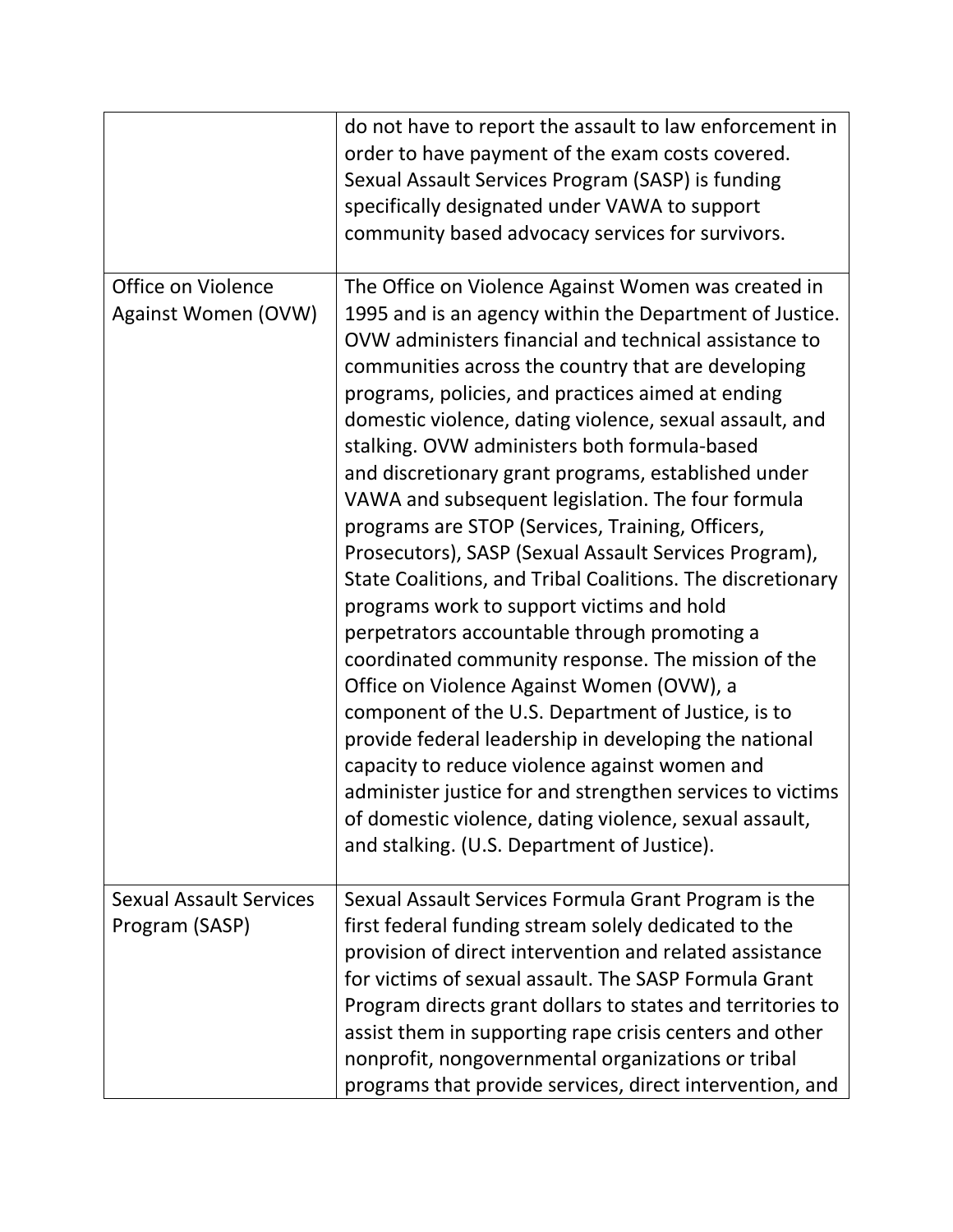|                                                  | do not have to report the assault to law enforcement in<br>order to have payment of the exam costs covered.<br>Sexual Assault Services Program (SASP) is funding<br>specifically designated under VAWA to support<br>community based advocacy services for survivors.                                                                                                                                                                                                                                                                                                                                                                                                                                                                                                                                                                                                                                                                                                                                                                                                                                                                                                                                                      |
|--------------------------------------------------|----------------------------------------------------------------------------------------------------------------------------------------------------------------------------------------------------------------------------------------------------------------------------------------------------------------------------------------------------------------------------------------------------------------------------------------------------------------------------------------------------------------------------------------------------------------------------------------------------------------------------------------------------------------------------------------------------------------------------------------------------------------------------------------------------------------------------------------------------------------------------------------------------------------------------------------------------------------------------------------------------------------------------------------------------------------------------------------------------------------------------------------------------------------------------------------------------------------------------|
| Office on Violence<br>Against Women (OVW)        | The Office on Violence Against Women was created in<br>1995 and is an agency within the Department of Justice.<br>OVW administers financial and technical assistance to<br>communities across the country that are developing<br>programs, policies, and practices aimed at ending<br>domestic violence, dating violence, sexual assault, and<br>stalking. OVW administers both formula-based<br>and discretionary grant programs, established under<br>VAWA and subsequent legislation. The four formula<br>programs are STOP (Services, Training, Officers,<br>Prosecutors), SASP (Sexual Assault Services Program),<br>State Coalitions, and Tribal Coalitions. The discretionary<br>programs work to support victims and hold<br>perpetrators accountable through promoting a<br>coordinated community response. The mission of the<br>Office on Violence Against Women (OVW), a<br>component of the U.S. Department of Justice, is to<br>provide federal leadership in developing the national<br>capacity to reduce violence against women and<br>administer justice for and strengthen services to victims<br>of domestic violence, dating violence, sexual assault,<br>and stalking. (U.S. Department of Justice). |
| <b>Sexual Assault Services</b><br>Program (SASP) | Sexual Assault Services Formula Grant Program is the<br>first federal funding stream solely dedicated to the<br>provision of direct intervention and related assistance<br>for victims of sexual assault. The SASP Formula Grant<br>Program directs grant dollars to states and territories to<br>assist them in supporting rape crisis centers and other<br>nonprofit, nongovernmental organizations or tribal<br>programs that provide services, direct intervention, and                                                                                                                                                                                                                                                                                                                                                                                                                                                                                                                                                                                                                                                                                                                                                |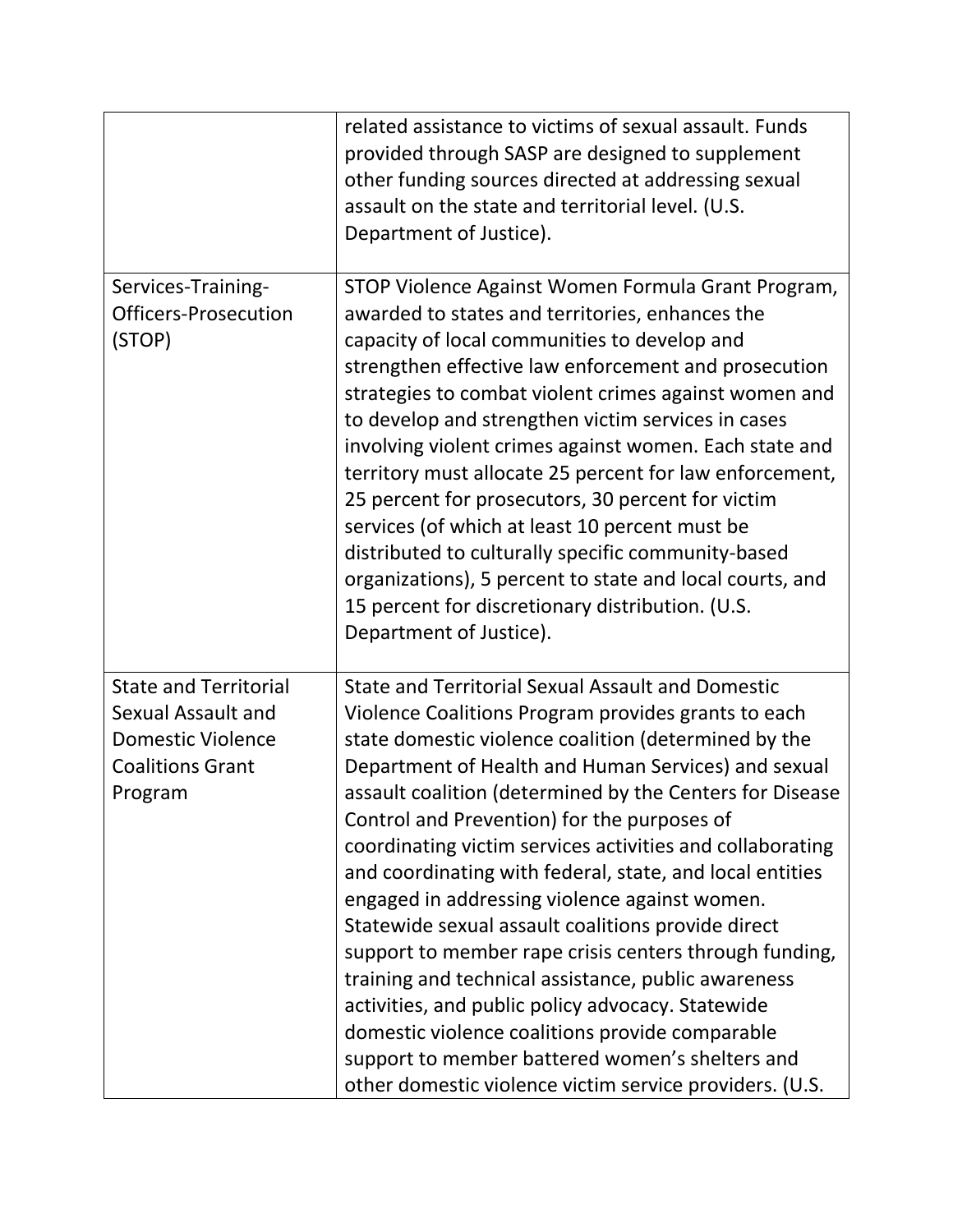|                                                                                                                      | related assistance to victims of sexual assault. Funds<br>provided through SASP are designed to supplement<br>other funding sources directed at addressing sexual<br>assault on the state and territorial level. (U.S.<br>Department of Justice).                                                                                                                                                                                                                                                                                                                                                                                                                                                                                                                                                                                                                                                                |
|----------------------------------------------------------------------------------------------------------------------|------------------------------------------------------------------------------------------------------------------------------------------------------------------------------------------------------------------------------------------------------------------------------------------------------------------------------------------------------------------------------------------------------------------------------------------------------------------------------------------------------------------------------------------------------------------------------------------------------------------------------------------------------------------------------------------------------------------------------------------------------------------------------------------------------------------------------------------------------------------------------------------------------------------|
| Services-Training-<br><b>Officers-Prosecution</b><br>(STOP)                                                          | STOP Violence Against Women Formula Grant Program,<br>awarded to states and territories, enhances the<br>capacity of local communities to develop and<br>strengthen effective law enforcement and prosecution<br>strategies to combat violent crimes against women and<br>to develop and strengthen victim services in cases<br>involving violent crimes against women. Each state and<br>territory must allocate 25 percent for law enforcement,<br>25 percent for prosecutors, 30 percent for victim<br>services (of which at least 10 percent must be<br>distributed to culturally specific community-based<br>organizations), 5 percent to state and local courts, and<br>15 percent for discretionary distribution. (U.S.<br>Department of Justice).                                                                                                                                                        |
| <b>State and Territorial</b><br>Sexual Assault and<br><b>Domestic Violence</b><br><b>Coalitions Grant</b><br>Program | <b>State and Territorial Sexual Assault and Domestic</b><br>Violence Coalitions Program provides grants to each<br>state domestic violence coalition (determined by the<br>Department of Health and Human Services) and sexual<br>assault coalition (determined by the Centers for Disease<br>Control and Prevention) for the purposes of<br>coordinating victim services activities and collaborating<br>and coordinating with federal, state, and local entities<br>engaged in addressing violence against women.<br>Statewide sexual assault coalitions provide direct<br>support to member rape crisis centers through funding,<br>training and technical assistance, public awareness<br>activities, and public policy advocacy. Statewide<br>domestic violence coalitions provide comparable<br>support to member battered women's shelters and<br>other domestic violence victim service providers. (U.S. |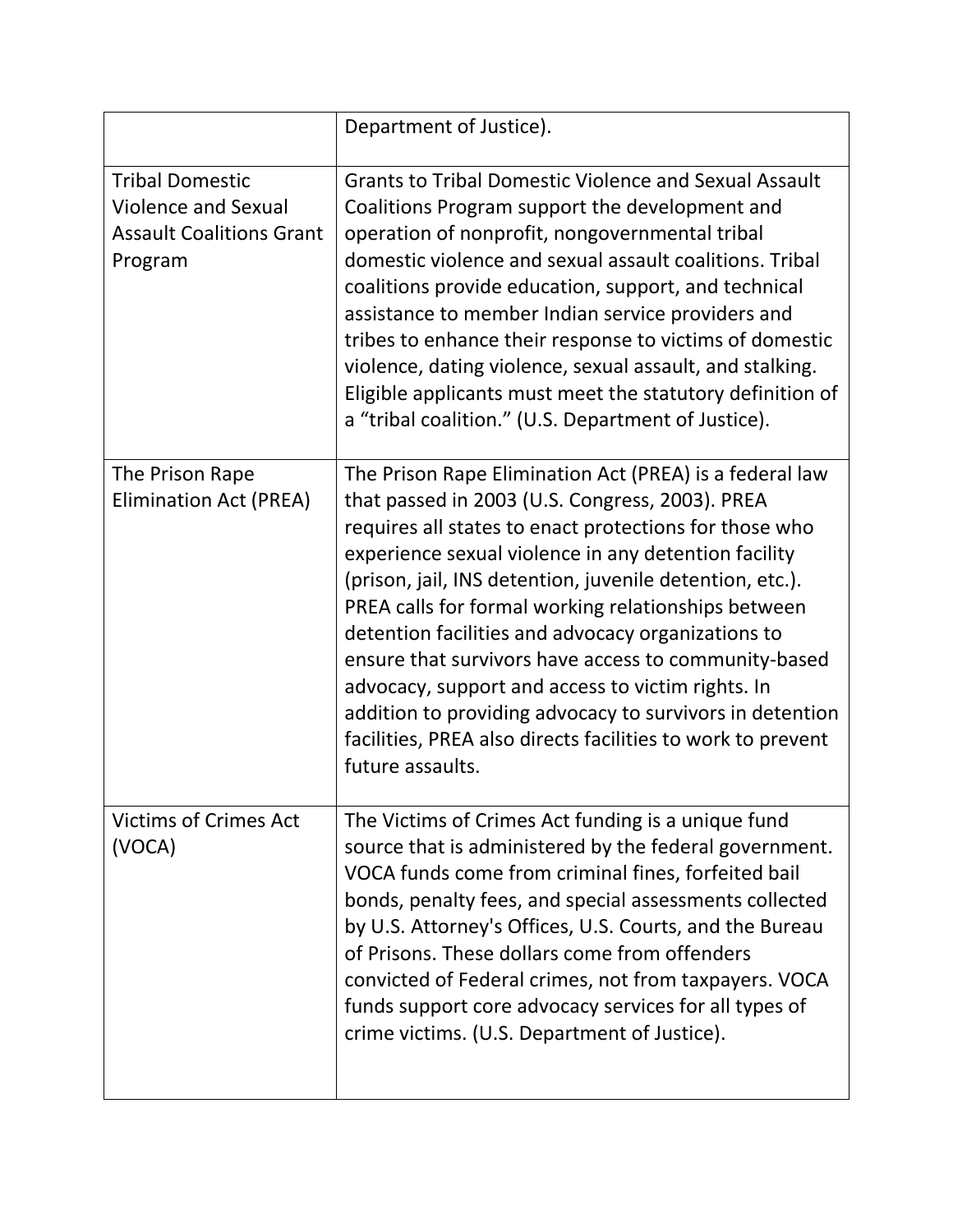|                                                                                                    | Department of Justice).                                                                                                                                                                                                                                                                                                                                                                                                                                                                                                                                                                                                                                           |
|----------------------------------------------------------------------------------------------------|-------------------------------------------------------------------------------------------------------------------------------------------------------------------------------------------------------------------------------------------------------------------------------------------------------------------------------------------------------------------------------------------------------------------------------------------------------------------------------------------------------------------------------------------------------------------------------------------------------------------------------------------------------------------|
| <b>Tribal Domestic</b><br><b>Violence and Sexual</b><br><b>Assault Coalitions Grant</b><br>Program | <b>Grants to Tribal Domestic Violence and Sexual Assault</b><br>Coalitions Program support the development and<br>operation of nonprofit, nongovernmental tribal<br>domestic violence and sexual assault coalitions. Tribal<br>coalitions provide education, support, and technical<br>assistance to member Indian service providers and<br>tribes to enhance their response to victims of domestic<br>violence, dating violence, sexual assault, and stalking.<br>Eligible applicants must meet the statutory definition of<br>a "tribal coalition." (U.S. Department of Justice).                                                                               |
| The Prison Rape<br><b>Elimination Act (PREA)</b>                                                   | The Prison Rape Elimination Act (PREA) is a federal law<br>that passed in 2003 (U.S. Congress, 2003). PREA<br>requires all states to enact protections for those who<br>experience sexual violence in any detention facility<br>(prison, jail, INS detention, juvenile detention, etc.).<br>PREA calls for formal working relationships between<br>detention facilities and advocacy organizations to<br>ensure that survivors have access to community-based<br>advocacy, support and access to victim rights. In<br>addition to providing advocacy to survivors in detention<br>facilities, PREA also directs facilities to work to prevent<br>future assaults. |
| <b>Victims of Crimes Act</b><br>(VOCA)                                                             | The Victims of Crimes Act funding is a unique fund<br>source that is administered by the federal government.<br>VOCA funds come from criminal fines, forfeited bail<br>bonds, penalty fees, and special assessments collected<br>by U.S. Attorney's Offices, U.S. Courts, and the Bureau<br>of Prisons. These dollars come from offenders<br>convicted of Federal crimes, not from taxpayers. VOCA<br>funds support core advocacy services for all types of<br>crime victims. (U.S. Department of Justice).                                                                                                                                                       |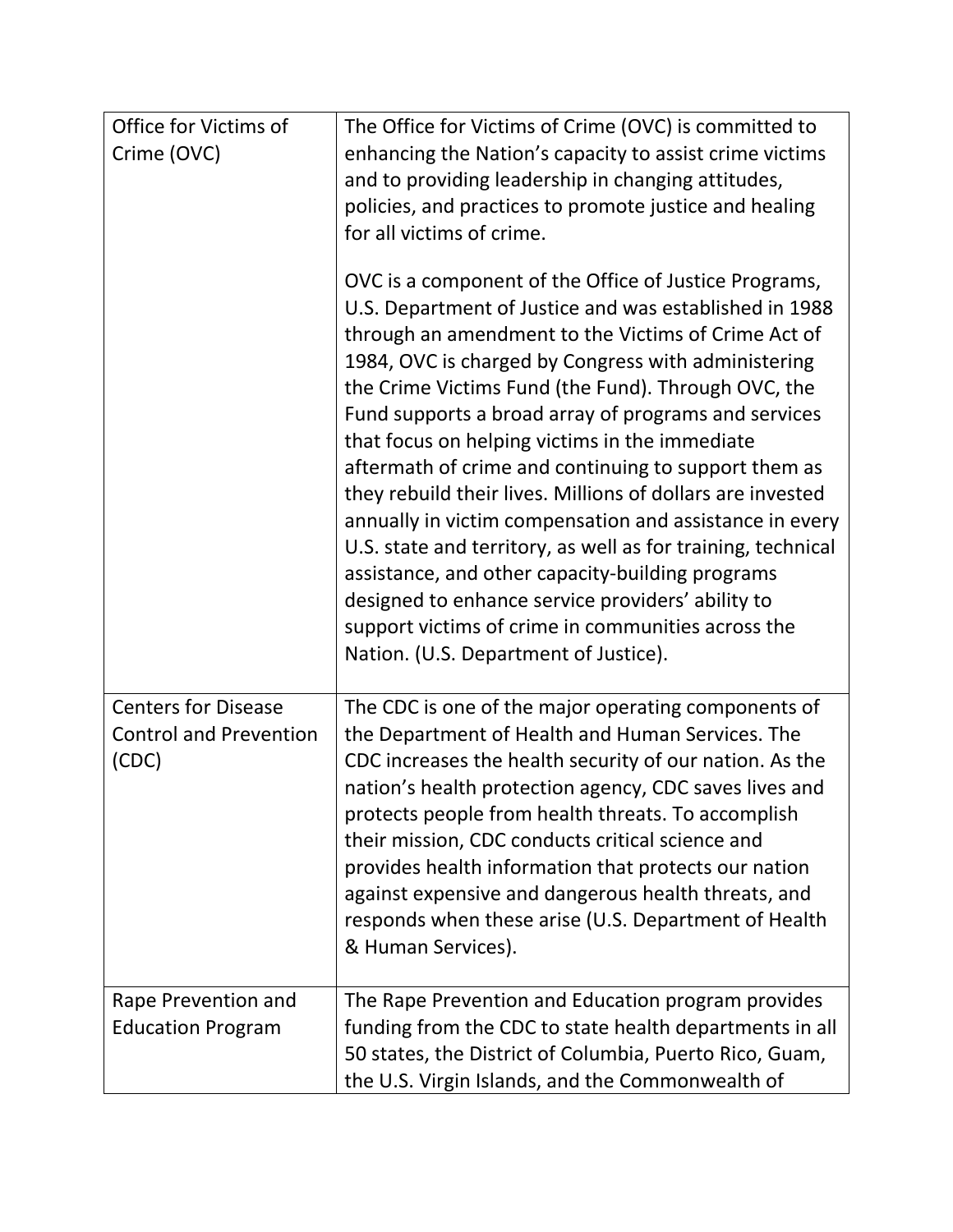| Office for Victims of                                                | The Office for Victims of Crime (OVC) is committed to                                                                                                                                                                                                                                                                                                                                                                                                                                                                                                                                                                                                                                                                                                                                                                                                   |
|----------------------------------------------------------------------|---------------------------------------------------------------------------------------------------------------------------------------------------------------------------------------------------------------------------------------------------------------------------------------------------------------------------------------------------------------------------------------------------------------------------------------------------------------------------------------------------------------------------------------------------------------------------------------------------------------------------------------------------------------------------------------------------------------------------------------------------------------------------------------------------------------------------------------------------------|
| Crime (OVC)                                                          | enhancing the Nation's capacity to assist crime victims<br>and to providing leadership in changing attitudes,<br>policies, and practices to promote justice and healing<br>for all victims of crime.                                                                                                                                                                                                                                                                                                                                                                                                                                                                                                                                                                                                                                                    |
|                                                                      | OVC is a component of the Office of Justice Programs,<br>U.S. Department of Justice and was established in 1988<br>through an amendment to the Victims of Crime Act of<br>1984, OVC is charged by Congress with administering<br>the Crime Victims Fund (the Fund). Through OVC, the<br>Fund supports a broad array of programs and services<br>that focus on helping victims in the immediate<br>aftermath of crime and continuing to support them as<br>they rebuild their lives. Millions of dollars are invested<br>annually in victim compensation and assistance in every<br>U.S. state and territory, as well as for training, technical<br>assistance, and other capacity-building programs<br>designed to enhance service providers' ability to<br>support victims of crime in communities across the<br>Nation. (U.S. Department of Justice). |
| <b>Centers for Disease</b><br><b>Control and Prevention</b><br>(CDC) | The CDC is one of the major operating components of<br>the Department of Health and Human Services. The<br>CDC increases the health security of our nation. As the<br>nation's health protection agency, CDC saves lives and<br>protects people from health threats. To accomplish<br>their mission, CDC conducts critical science and<br>provides health information that protects our nation<br>against expensive and dangerous health threats, and<br>responds when these arise (U.S. Department of Health<br>& Human Services).                                                                                                                                                                                                                                                                                                                     |
| Rape Prevention and<br><b>Education Program</b>                      | The Rape Prevention and Education program provides<br>funding from the CDC to state health departments in all<br>50 states, the District of Columbia, Puerto Rico, Guam,<br>the U.S. Virgin Islands, and the Commonwealth of                                                                                                                                                                                                                                                                                                                                                                                                                                                                                                                                                                                                                            |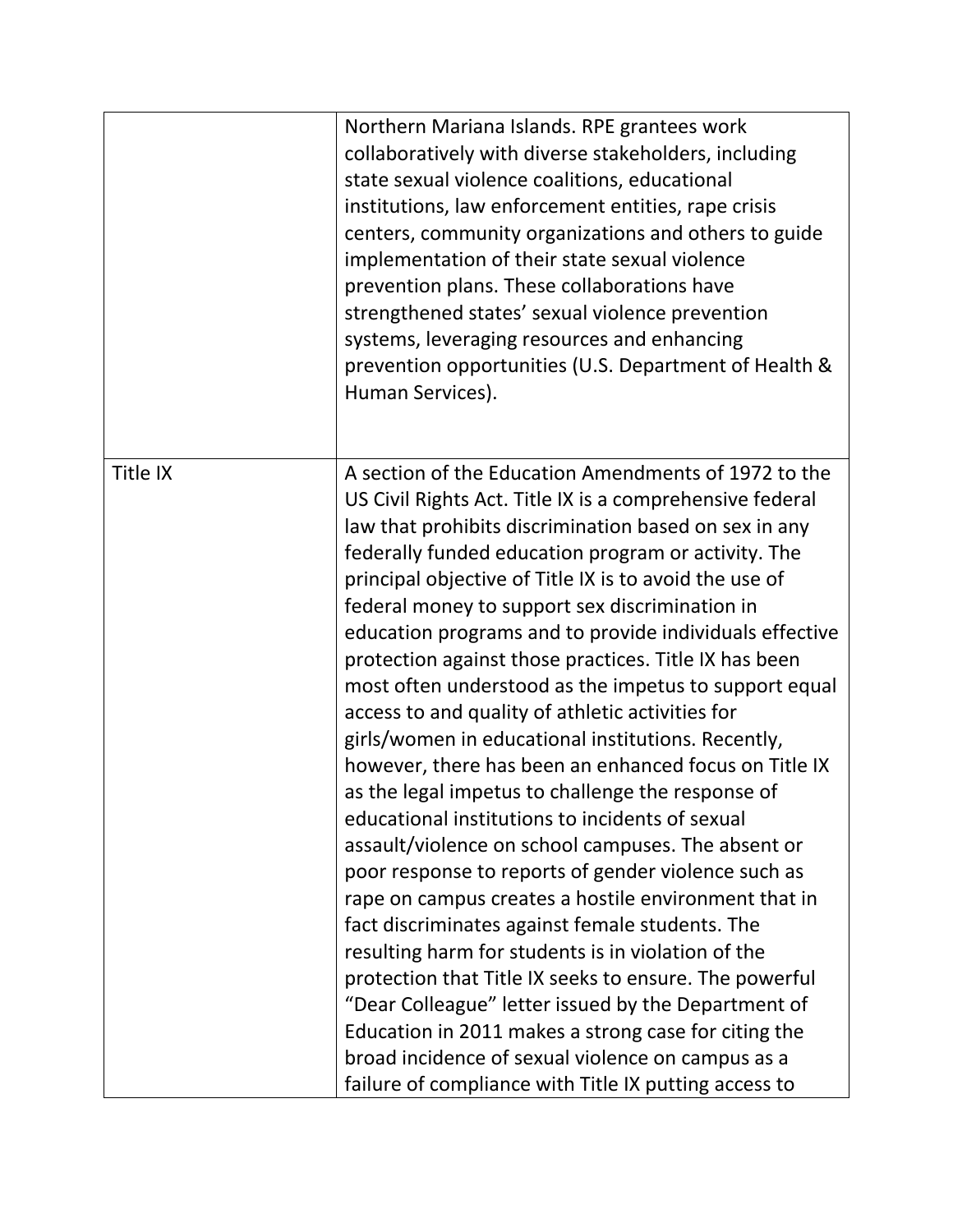|          | Northern Mariana Islands. RPE grantees work<br>collaboratively with diverse stakeholders, including<br>state sexual violence coalitions, educational<br>institutions, law enforcement entities, rape crisis<br>centers, community organizations and others to guide<br>implementation of their state sexual violence<br>prevention plans. These collaborations have<br>strengthened states' sexual violence prevention<br>systems, leveraging resources and enhancing                                                                                                                                                                                                                                                                                                                                                                                                                                                                                                                                                                                                                                                                                                                                                                                                                                                                                                     |
|----------|---------------------------------------------------------------------------------------------------------------------------------------------------------------------------------------------------------------------------------------------------------------------------------------------------------------------------------------------------------------------------------------------------------------------------------------------------------------------------------------------------------------------------------------------------------------------------------------------------------------------------------------------------------------------------------------------------------------------------------------------------------------------------------------------------------------------------------------------------------------------------------------------------------------------------------------------------------------------------------------------------------------------------------------------------------------------------------------------------------------------------------------------------------------------------------------------------------------------------------------------------------------------------------------------------------------------------------------------------------------------------|
|          | prevention opportunities (U.S. Department of Health &<br>Human Services).                                                                                                                                                                                                                                                                                                                                                                                                                                                                                                                                                                                                                                                                                                                                                                                                                                                                                                                                                                                                                                                                                                                                                                                                                                                                                                 |
| Title IX | A section of the Education Amendments of 1972 to the<br>US Civil Rights Act. Title IX is a comprehensive federal<br>law that prohibits discrimination based on sex in any<br>federally funded education program or activity. The<br>principal objective of Title IX is to avoid the use of<br>federal money to support sex discrimination in<br>education programs and to provide individuals effective<br>protection against those practices. Title IX has been<br>most often understood as the impetus to support equal<br>access to and quality of athletic activities for<br>girls/women in educational institutions. Recently,<br>however, there has been an enhanced focus on Title IX<br>as the legal impetus to challenge the response of<br>educational institutions to incidents of sexual<br>assault/violence on school campuses. The absent or<br>poor response to reports of gender violence such as<br>rape on campus creates a hostile environment that in<br>fact discriminates against female students. The<br>resulting harm for students is in violation of the<br>protection that Title IX seeks to ensure. The powerful<br>"Dear Colleague" letter issued by the Department of<br>Education in 2011 makes a strong case for citing the<br>broad incidence of sexual violence on campus as a<br>failure of compliance with Title IX putting access to |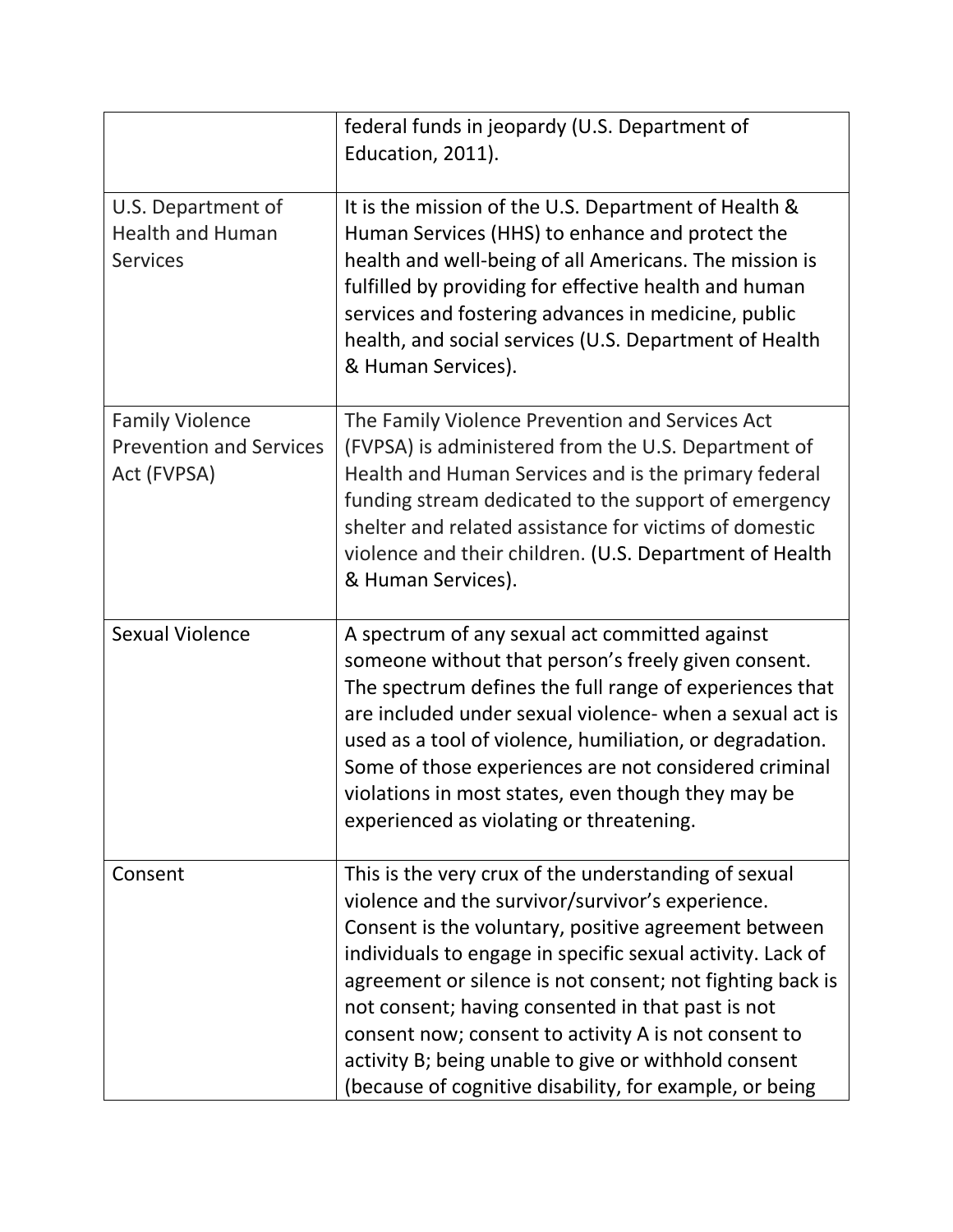|                                                                         | federal funds in jeopardy (U.S. Department of<br>Education, 2011).                                                                                                                                                                                                                                                                                                                                                                                                                                                          |
|-------------------------------------------------------------------------|-----------------------------------------------------------------------------------------------------------------------------------------------------------------------------------------------------------------------------------------------------------------------------------------------------------------------------------------------------------------------------------------------------------------------------------------------------------------------------------------------------------------------------|
| U.S. Department of<br><b>Health and Human</b><br><b>Services</b>        | It is the mission of the U.S. Department of Health &<br>Human Services (HHS) to enhance and protect the<br>health and well-being of all Americans. The mission is<br>fulfilled by providing for effective health and human<br>services and fostering advances in medicine, public<br>health, and social services (U.S. Department of Health<br>& Human Services).                                                                                                                                                           |
| <b>Family Violence</b><br><b>Prevention and Services</b><br>Act (FVPSA) | The Family Violence Prevention and Services Act<br>(FVPSA) is administered from the U.S. Department of<br>Health and Human Services and is the primary federal<br>funding stream dedicated to the support of emergency<br>shelter and related assistance for victims of domestic<br>violence and their children. (U.S. Department of Health<br>& Human Services).                                                                                                                                                           |
| <b>Sexual Violence</b>                                                  | A spectrum of any sexual act committed against<br>someone without that person's freely given consent.<br>The spectrum defines the full range of experiences that<br>are included under sexual violence- when a sexual act is<br>used as a tool of violence, humiliation, or degradation.<br>Some of those experiences are not considered criminal<br>violations in most states, even though they may be<br>experienced as violating or threatening.                                                                         |
| Consent                                                                 | This is the very crux of the understanding of sexual<br>violence and the survivor/survivor's experience.<br>Consent is the voluntary, positive agreement between<br>individuals to engage in specific sexual activity. Lack of<br>agreement or silence is not consent; not fighting back is<br>not consent; having consented in that past is not<br>consent now; consent to activity A is not consent to<br>activity B; being unable to give or withhold consent<br>(because of cognitive disability, for example, or being |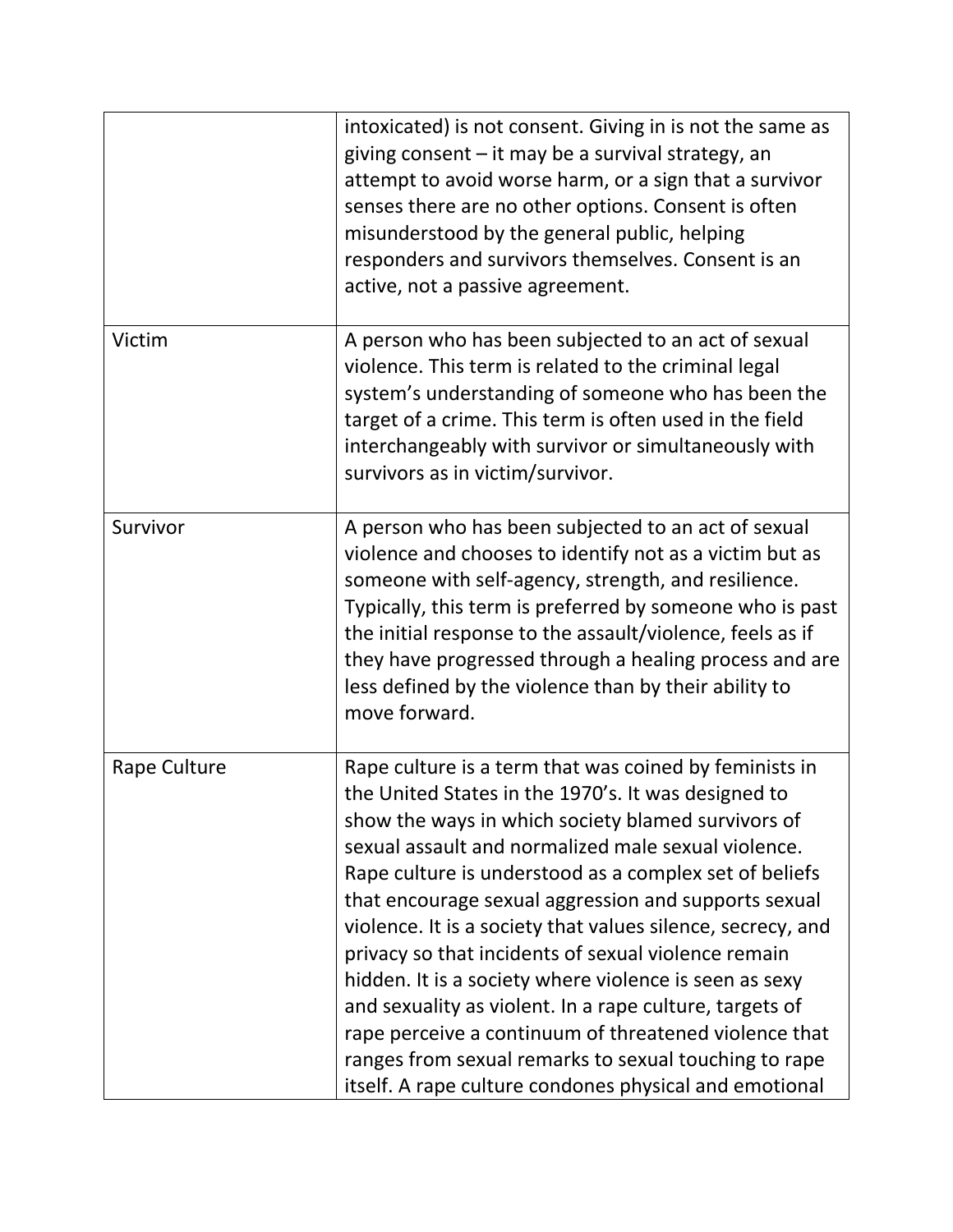|              | intoxicated) is not consent. Giving in is not the same as<br>giving consent - it may be a survival strategy, an<br>attempt to avoid worse harm, or a sign that a survivor<br>senses there are no other options. Consent is often<br>misunderstood by the general public, helping<br>responders and survivors themselves. Consent is an<br>active, not a passive agreement.                                                                                                                                                                                                                                                                                                                                                                                          |
|--------------|---------------------------------------------------------------------------------------------------------------------------------------------------------------------------------------------------------------------------------------------------------------------------------------------------------------------------------------------------------------------------------------------------------------------------------------------------------------------------------------------------------------------------------------------------------------------------------------------------------------------------------------------------------------------------------------------------------------------------------------------------------------------|
| Victim       | A person who has been subjected to an act of sexual<br>violence. This term is related to the criminal legal<br>system's understanding of someone who has been the<br>target of a crime. This term is often used in the field<br>interchangeably with survivor or simultaneously with<br>survivors as in victim/survivor.                                                                                                                                                                                                                                                                                                                                                                                                                                            |
| Survivor     | A person who has been subjected to an act of sexual<br>violence and chooses to identify not as a victim but as<br>someone with self-agency, strength, and resilience.<br>Typically, this term is preferred by someone who is past<br>the initial response to the assault/violence, feels as if<br>they have progressed through a healing process and are<br>less defined by the violence than by their ability to<br>move forward.                                                                                                                                                                                                                                                                                                                                  |
| Rape Culture | Rape culture is a term that was coined by feminists in<br>the United States in the 1970's. It was designed to<br>show the ways in which society blamed survivors of<br>sexual assault and normalized male sexual violence.<br>Rape culture is understood as a complex set of beliefs<br>that encourage sexual aggression and supports sexual<br>violence. It is a society that values silence, secrecy, and<br>privacy so that incidents of sexual violence remain<br>hidden. It is a society where violence is seen as sexy<br>and sexuality as violent. In a rape culture, targets of<br>rape perceive a continuum of threatened violence that<br>ranges from sexual remarks to sexual touching to rape<br>itself. A rape culture condones physical and emotional |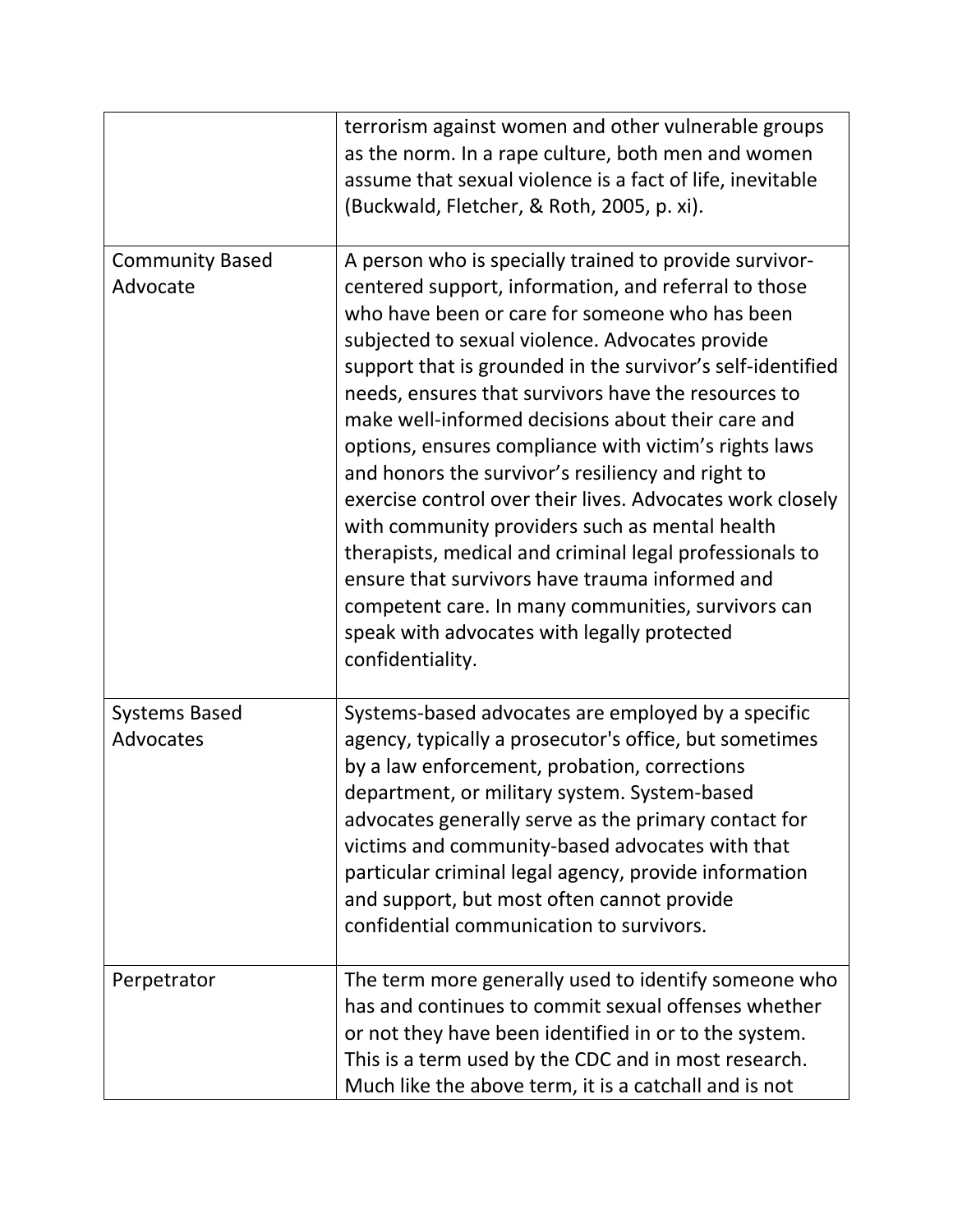|                                    | terrorism against women and other vulnerable groups<br>as the norm. In a rape culture, both men and women<br>assume that sexual violence is a fact of life, inevitable<br>(Buckwald, Fletcher, & Roth, 2005, p. xi).                                                                                                                                                                                                                                                                                                                                                                                                                                                                                                                                                                                                                                             |
|------------------------------------|------------------------------------------------------------------------------------------------------------------------------------------------------------------------------------------------------------------------------------------------------------------------------------------------------------------------------------------------------------------------------------------------------------------------------------------------------------------------------------------------------------------------------------------------------------------------------------------------------------------------------------------------------------------------------------------------------------------------------------------------------------------------------------------------------------------------------------------------------------------|
| <b>Community Based</b><br>Advocate | A person who is specially trained to provide survivor-<br>centered support, information, and referral to those<br>who have been or care for someone who has been<br>subjected to sexual violence. Advocates provide<br>support that is grounded in the survivor's self-identified<br>needs, ensures that survivors have the resources to<br>make well-informed decisions about their care and<br>options, ensures compliance with victim's rights laws<br>and honors the survivor's resiliency and right to<br>exercise control over their lives. Advocates work closely<br>with community providers such as mental health<br>therapists, medical and criminal legal professionals to<br>ensure that survivors have trauma informed and<br>competent care. In many communities, survivors can<br>speak with advocates with legally protected<br>confidentiality. |
| <b>Systems Based</b><br>Advocates  | Systems-based advocates are employed by a specific<br>agency, typically a prosecutor's office, but sometimes<br>by a law enforcement, probation, corrections<br>department, or military system. System-based<br>advocates generally serve as the primary contact for<br>victims and community-based advocates with that<br>particular criminal legal agency, provide information<br>and support, but most often cannot provide<br>confidential communication to survivors.                                                                                                                                                                                                                                                                                                                                                                                       |
| Perpetrator                        | The term more generally used to identify someone who<br>has and continues to commit sexual offenses whether<br>or not they have been identified in or to the system.<br>This is a term used by the CDC and in most research.<br>Much like the above term, it is a catchall and is not                                                                                                                                                                                                                                                                                                                                                                                                                                                                                                                                                                            |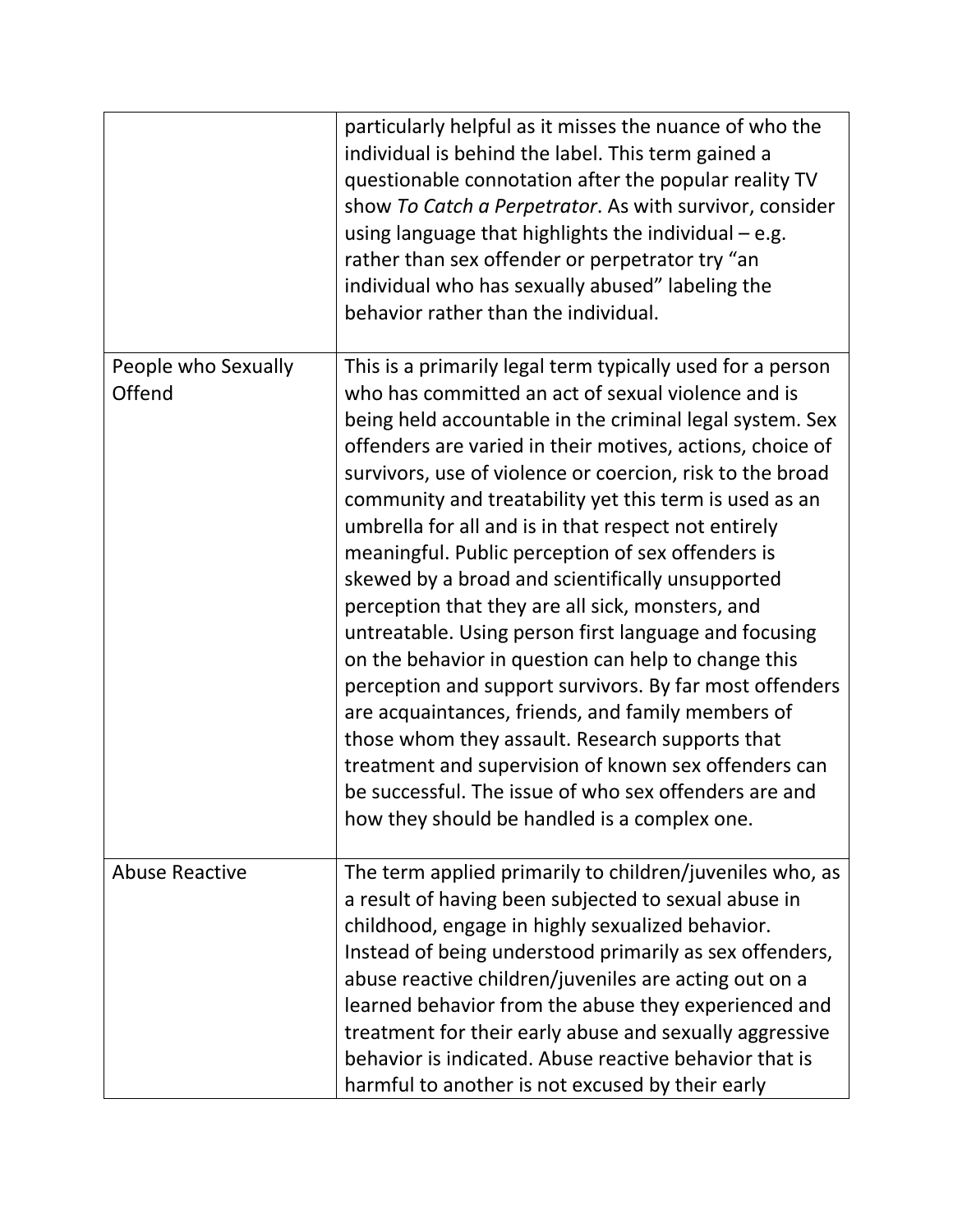|                               | particularly helpful as it misses the nuance of who the<br>individual is behind the label. This term gained a<br>questionable connotation after the popular reality TV<br>show To Catch a Perpetrator. As with survivor, consider<br>using language that highlights the individual $-$ e.g.<br>rather than sex offender or perpetrator try "an<br>individual who has sexually abused" labeling the<br>behavior rather than the individual.                                                                                                                                                                                                                                                                                                                                                                                                                                                                                                                                                                                                |
|-------------------------------|-------------------------------------------------------------------------------------------------------------------------------------------------------------------------------------------------------------------------------------------------------------------------------------------------------------------------------------------------------------------------------------------------------------------------------------------------------------------------------------------------------------------------------------------------------------------------------------------------------------------------------------------------------------------------------------------------------------------------------------------------------------------------------------------------------------------------------------------------------------------------------------------------------------------------------------------------------------------------------------------------------------------------------------------|
| People who Sexually<br>Offend | This is a primarily legal term typically used for a person<br>who has committed an act of sexual violence and is<br>being held accountable in the criminal legal system. Sex<br>offenders are varied in their motives, actions, choice of<br>survivors, use of violence or coercion, risk to the broad<br>community and treatability yet this term is used as an<br>umbrella for all and is in that respect not entirely<br>meaningful. Public perception of sex offenders is<br>skewed by a broad and scientifically unsupported<br>perception that they are all sick, monsters, and<br>untreatable. Using person first language and focusing<br>on the behavior in question can help to change this<br>perception and support survivors. By far most offenders<br>are acquaintances, friends, and family members of<br>those whom they assault. Research supports that<br>treatment and supervision of known sex offenders can<br>be successful. The issue of who sex offenders are and<br>how they should be handled is a complex one. |
| <b>Abuse Reactive</b>         | The term applied primarily to children/juveniles who, as<br>a result of having been subjected to sexual abuse in<br>childhood, engage in highly sexualized behavior.<br>Instead of being understood primarily as sex offenders,<br>abuse reactive children/juveniles are acting out on a<br>learned behavior from the abuse they experienced and<br>treatment for their early abuse and sexually aggressive<br>behavior is indicated. Abuse reactive behavior that is<br>harmful to another is not excused by their early                                                                                                                                                                                                                                                                                                                                                                                                                                                                                                                 |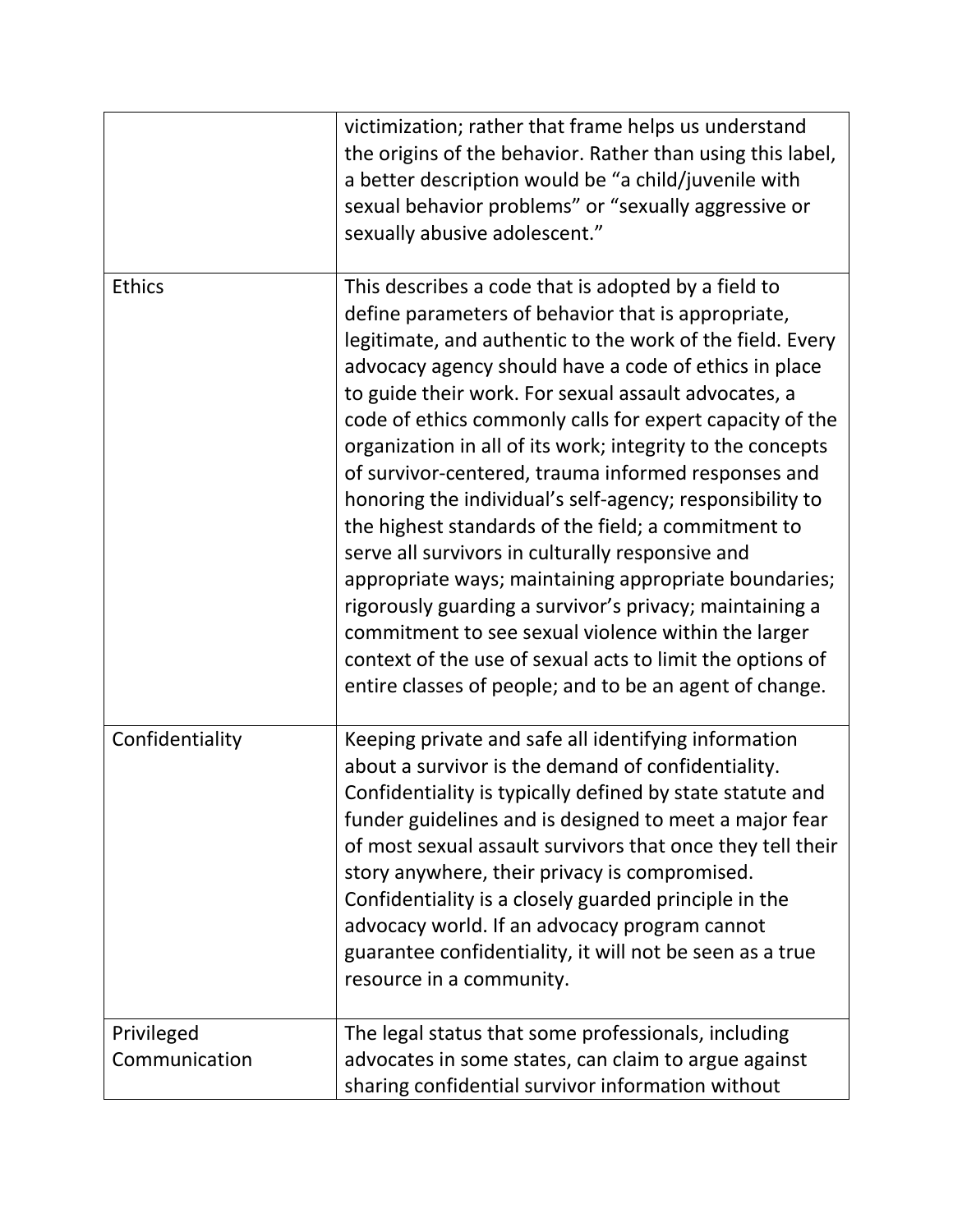|                             | victimization; rather that frame helps us understand<br>the origins of the behavior. Rather than using this label,<br>a better description would be "a child/juvenile with<br>sexual behavior problems" or "sexually aggressive or<br>sexually abusive adolescent."                                                                                                                                                                                                                                                                                                                                                                                                                                                                                                                                                                                                                                                                                |
|-----------------------------|----------------------------------------------------------------------------------------------------------------------------------------------------------------------------------------------------------------------------------------------------------------------------------------------------------------------------------------------------------------------------------------------------------------------------------------------------------------------------------------------------------------------------------------------------------------------------------------------------------------------------------------------------------------------------------------------------------------------------------------------------------------------------------------------------------------------------------------------------------------------------------------------------------------------------------------------------|
| <b>Ethics</b>               | This describes a code that is adopted by a field to<br>define parameters of behavior that is appropriate,<br>legitimate, and authentic to the work of the field. Every<br>advocacy agency should have a code of ethics in place<br>to guide their work. For sexual assault advocates, a<br>code of ethics commonly calls for expert capacity of the<br>organization in all of its work; integrity to the concepts<br>of survivor-centered, trauma informed responses and<br>honoring the individual's self-agency; responsibility to<br>the highest standards of the field; a commitment to<br>serve all survivors in culturally responsive and<br>appropriate ways; maintaining appropriate boundaries;<br>rigorously guarding a survivor's privacy; maintaining a<br>commitment to see sexual violence within the larger<br>context of the use of sexual acts to limit the options of<br>entire classes of people; and to be an agent of change. |
| Confidentiality             | Keeping private and safe all identifying information<br>about a survivor is the demand of confidentiality.<br>Confidentiality is typically defined by state statute and<br>funder guidelines and is designed to meet a major fear<br>of most sexual assault survivors that once they tell their<br>story anywhere, their privacy is compromised.<br>Confidentiality is a closely guarded principle in the<br>advocacy world. If an advocacy program cannot<br>guarantee confidentiality, it will not be seen as a true<br>resource in a community.                                                                                                                                                                                                                                                                                                                                                                                                 |
| Privileged<br>Communication | The legal status that some professionals, including<br>advocates in some states, can claim to argue against<br>sharing confidential survivor information without                                                                                                                                                                                                                                                                                                                                                                                                                                                                                                                                                                                                                                                                                                                                                                                   |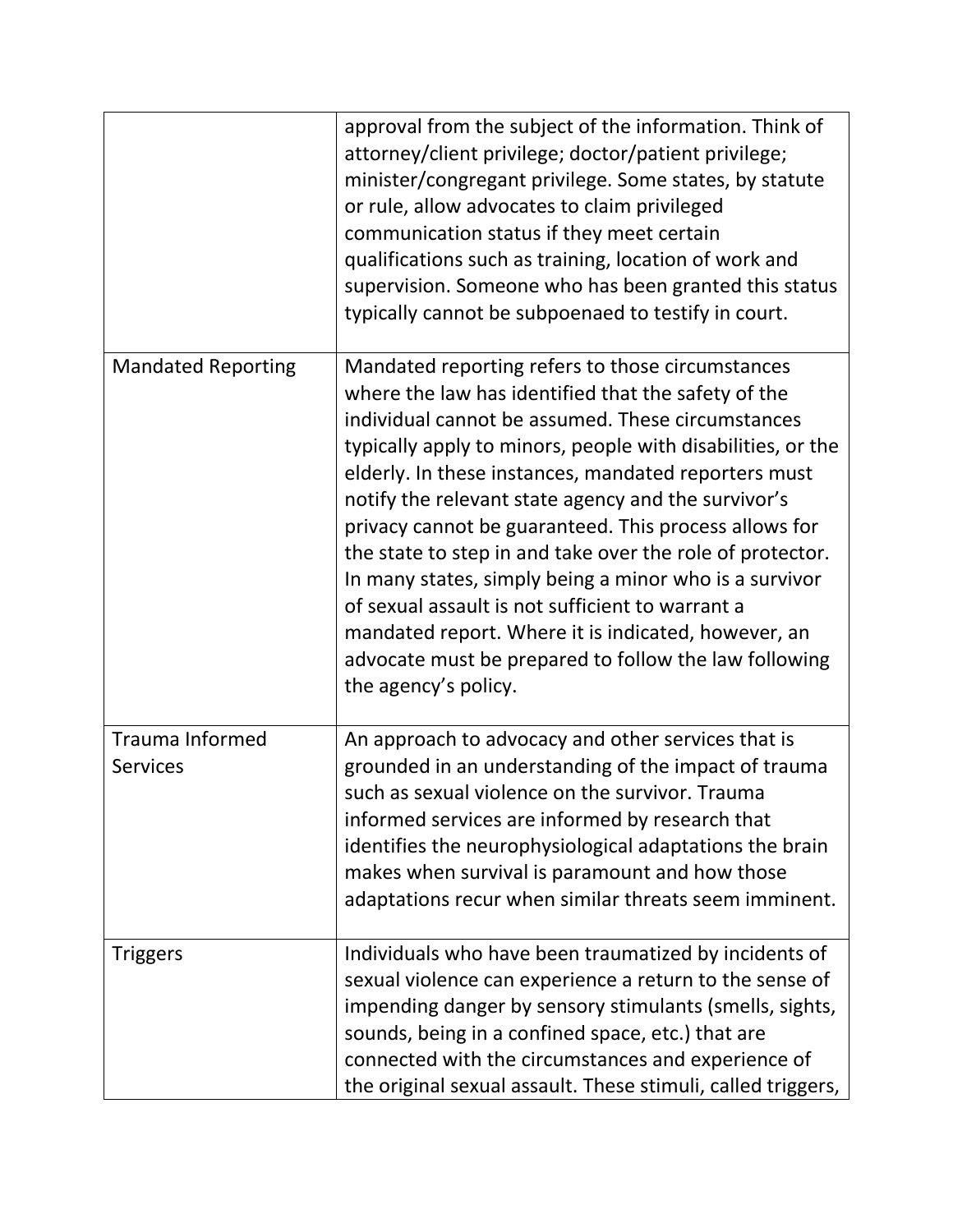|                                           | approval from the subject of the information. Think of<br>attorney/client privilege; doctor/patient privilege;<br>minister/congregant privilege. Some states, by statute<br>or rule, allow advocates to claim privileged<br>communication status if they meet certain<br>qualifications such as training, location of work and<br>supervision. Someone who has been granted this status<br>typically cannot be subpoenaed to testify in court.                                                                                                                                                                                                                                                                         |
|-------------------------------------------|------------------------------------------------------------------------------------------------------------------------------------------------------------------------------------------------------------------------------------------------------------------------------------------------------------------------------------------------------------------------------------------------------------------------------------------------------------------------------------------------------------------------------------------------------------------------------------------------------------------------------------------------------------------------------------------------------------------------|
| <b>Mandated Reporting</b>                 | Mandated reporting refers to those circumstances<br>where the law has identified that the safety of the<br>individual cannot be assumed. These circumstances<br>typically apply to minors, people with disabilities, or the<br>elderly. In these instances, mandated reporters must<br>notify the relevant state agency and the survivor's<br>privacy cannot be guaranteed. This process allows for<br>the state to step in and take over the role of protector.<br>In many states, simply being a minor who is a survivor<br>of sexual assault is not sufficient to warrant a<br>mandated report. Where it is indicated, however, an<br>advocate must be prepared to follow the law following<br>the agency's policy. |
| <b>Trauma Informed</b><br><b>Services</b> | An approach to advocacy and other services that is<br>grounded in an understanding of the impact of trauma<br>such as sexual violence on the survivor. Trauma<br>informed services are informed by research that<br>identifies the neurophysiological adaptations the brain<br>makes when survival is paramount and how those<br>adaptations recur when similar threats seem imminent.                                                                                                                                                                                                                                                                                                                                 |
| <b>Triggers</b>                           | Individuals who have been traumatized by incidents of<br>sexual violence can experience a return to the sense of<br>impending danger by sensory stimulants (smells, sights,<br>sounds, being in a confined space, etc.) that are<br>connected with the circumstances and experience of<br>the original sexual assault. These stimuli, called triggers,                                                                                                                                                                                                                                                                                                                                                                 |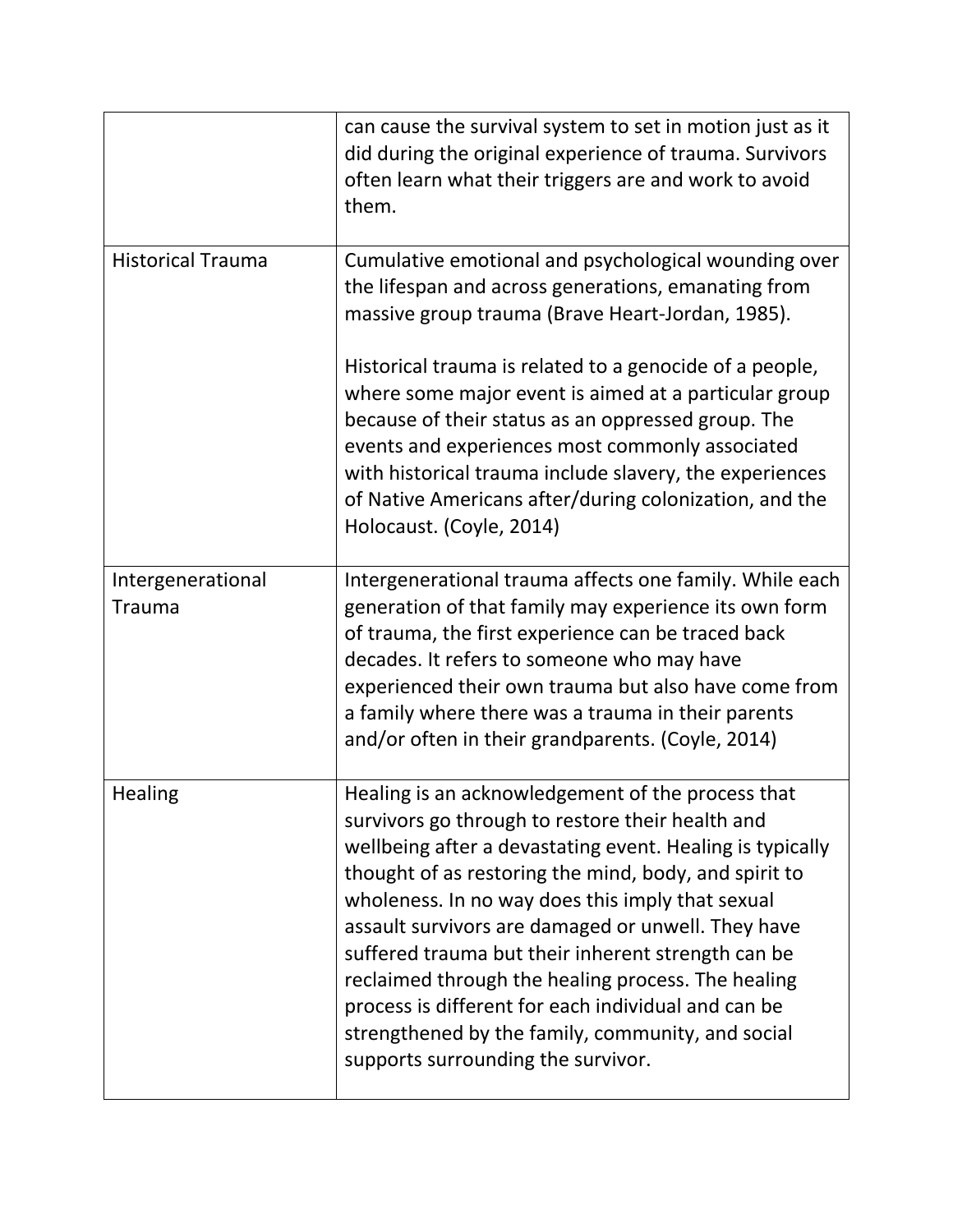|                                    | can cause the survival system to set in motion just as it<br>did during the original experience of trauma. Survivors<br>often learn what their triggers are and work to avoid<br>them.                                                                                                                                                                                                                                                                                                                                                                                                              |
|------------------------------------|-----------------------------------------------------------------------------------------------------------------------------------------------------------------------------------------------------------------------------------------------------------------------------------------------------------------------------------------------------------------------------------------------------------------------------------------------------------------------------------------------------------------------------------------------------------------------------------------------------|
| <b>Historical Trauma</b>           | Cumulative emotional and psychological wounding over<br>the lifespan and across generations, emanating from<br>massive group trauma (Brave Heart-Jordan, 1985).                                                                                                                                                                                                                                                                                                                                                                                                                                     |
|                                    | Historical trauma is related to a genocide of a people,<br>where some major event is aimed at a particular group<br>because of their status as an oppressed group. The<br>events and experiences most commonly associated<br>with historical trauma include slavery, the experiences<br>of Native Americans after/during colonization, and the<br>Holocaust. (Coyle, 2014)                                                                                                                                                                                                                          |
| Intergenerational<br><b>Trauma</b> | Intergenerational trauma affects one family. While each<br>generation of that family may experience its own form<br>of trauma, the first experience can be traced back<br>decades. It refers to someone who may have<br>experienced their own trauma but also have come from<br>a family where there was a trauma in their parents<br>and/or often in their grandparents. (Coyle, 2014)                                                                                                                                                                                                             |
| <b>Healing</b>                     | Healing is an acknowledgement of the process that<br>survivors go through to restore their health and<br>wellbeing after a devastating event. Healing is typically<br>thought of as restoring the mind, body, and spirit to<br>wholeness. In no way does this imply that sexual<br>assault survivors are damaged or unwell. They have<br>suffered trauma but their inherent strength can be<br>reclaimed through the healing process. The healing<br>process is different for each individual and can be<br>strengthened by the family, community, and social<br>supports surrounding the survivor. |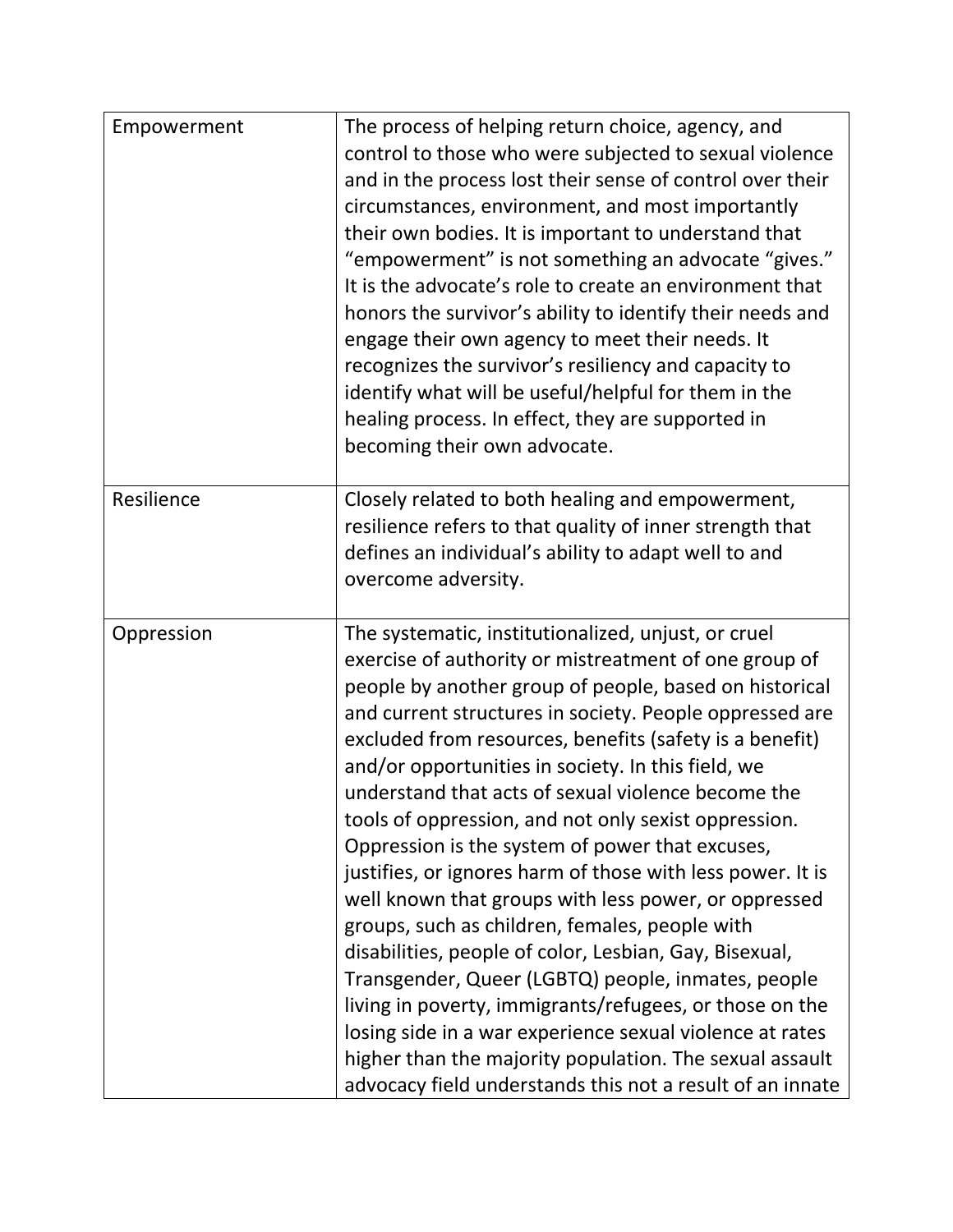| Empowerment | The process of helping return choice, agency, and<br>control to those who were subjected to sexual violence<br>and in the process lost their sense of control over their<br>circumstances, environment, and most importantly<br>their own bodies. It is important to understand that<br>"empowerment" is not something an advocate "gives."<br>It is the advocate's role to create an environment that<br>honors the survivor's ability to identify their needs and<br>engage their own agency to meet their needs. It<br>recognizes the survivor's resiliency and capacity to<br>identify what will be useful/helpful for them in the<br>healing process. In effect, they are supported in<br>becoming their own advocate.                                                                                                                                                                                                                                                                                                                                |
|-------------|------------------------------------------------------------------------------------------------------------------------------------------------------------------------------------------------------------------------------------------------------------------------------------------------------------------------------------------------------------------------------------------------------------------------------------------------------------------------------------------------------------------------------------------------------------------------------------------------------------------------------------------------------------------------------------------------------------------------------------------------------------------------------------------------------------------------------------------------------------------------------------------------------------------------------------------------------------------------------------------------------------------------------------------------------------|
| Resilience  | Closely related to both healing and empowerment,<br>resilience refers to that quality of inner strength that<br>defines an individual's ability to adapt well to and<br>overcome adversity.                                                                                                                                                                                                                                                                                                                                                                                                                                                                                                                                                                                                                                                                                                                                                                                                                                                                |
| Oppression  | The systematic, institutionalized, unjust, or cruel<br>exercise of authority or mistreatment of one group of<br>people by another group of people, based on historical<br>and current structures in society. People oppressed are<br>excluded from resources, benefits (safety is a benefit)<br>and/or opportunities in society. In this field, we<br>understand that acts of sexual violence become the<br>tools of oppression, and not only sexist oppression.<br>Oppression is the system of power that excuses,<br>justifies, or ignores harm of those with less power. It is<br>well known that groups with less power, or oppressed<br>groups, such as children, females, people with<br>disabilities, people of color, Lesbian, Gay, Bisexual,<br>Transgender, Queer (LGBTQ) people, inmates, people<br>living in poverty, immigrants/refugees, or those on the<br>losing side in a war experience sexual violence at rates<br>higher than the majority population. The sexual assault<br>advocacy field understands this not a result of an innate |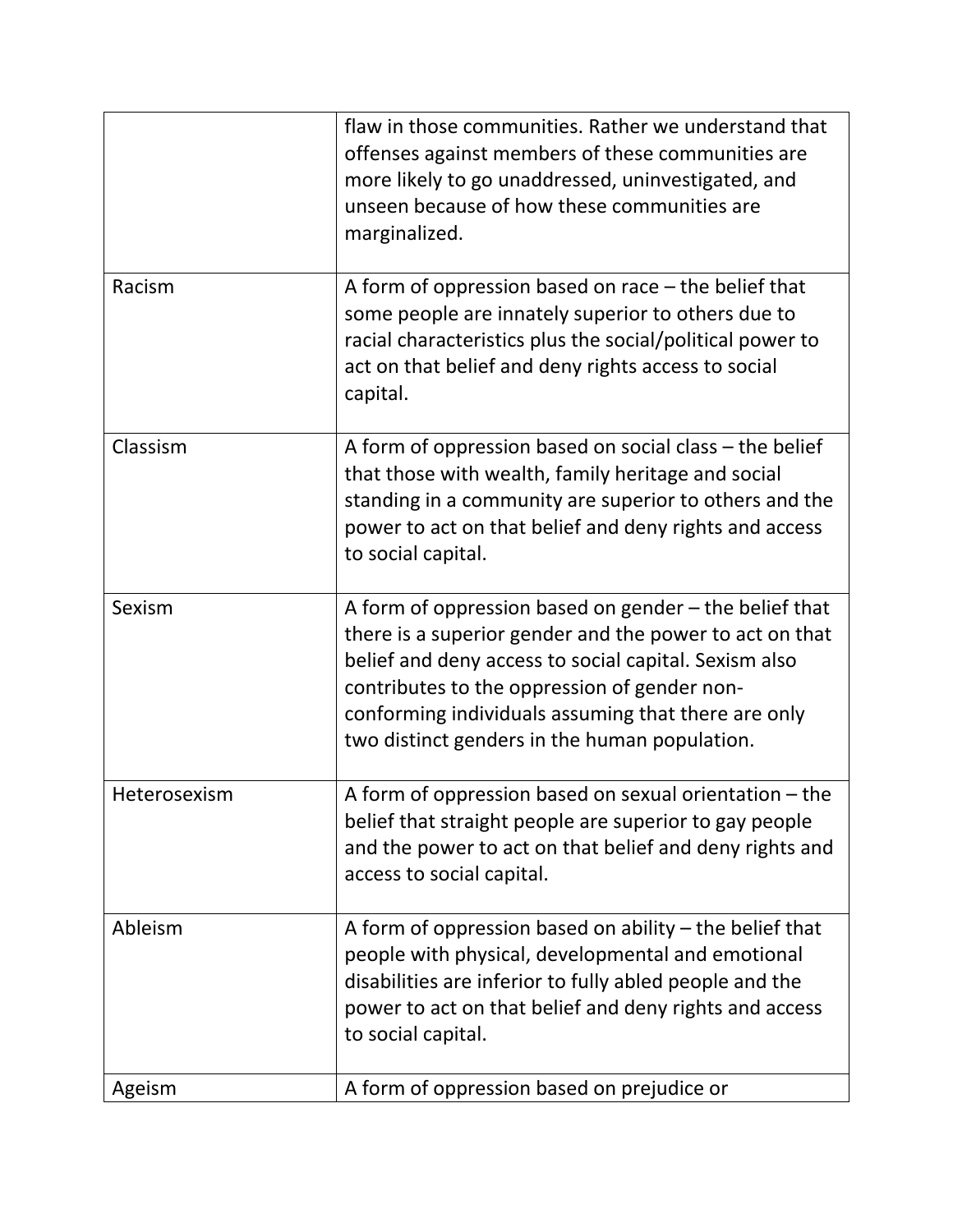|              | flaw in those communities. Rather we understand that<br>offenses against members of these communities are<br>more likely to go unaddressed, uninvestigated, and<br>unseen because of how these communities are<br>marginalized.                                                                                                    |
|--------------|------------------------------------------------------------------------------------------------------------------------------------------------------------------------------------------------------------------------------------------------------------------------------------------------------------------------------------|
| Racism       | A form of oppression based on race $-$ the belief that<br>some people are innately superior to others due to<br>racial characteristics plus the social/political power to<br>act on that belief and deny rights access to social<br>capital.                                                                                       |
| Classism     | A form of oppression based on social class – the belief<br>that those with wealth, family heritage and social<br>standing in a community are superior to others and the<br>power to act on that belief and deny rights and access<br>to social capital.                                                                            |
| Sexism       | A form of oppression based on gender - the belief that<br>there is a superior gender and the power to act on that<br>belief and deny access to social capital. Sexism also<br>contributes to the oppression of gender non-<br>conforming individuals assuming that there are only<br>two distinct genders in the human population. |
| Heterosexism | A form of oppression based on sexual orientation $-$ the<br>belief that straight people are superior to gay people<br>and the power to act on that belief and deny rights and<br>access to social capital.                                                                                                                         |
| Ableism      | A form of oppression based on ability $-$ the belief that<br>people with physical, developmental and emotional<br>disabilities are inferior to fully abled people and the<br>power to act on that belief and deny rights and access<br>to social capital.                                                                          |
| Ageism       | A form of oppression based on prejudice or                                                                                                                                                                                                                                                                                         |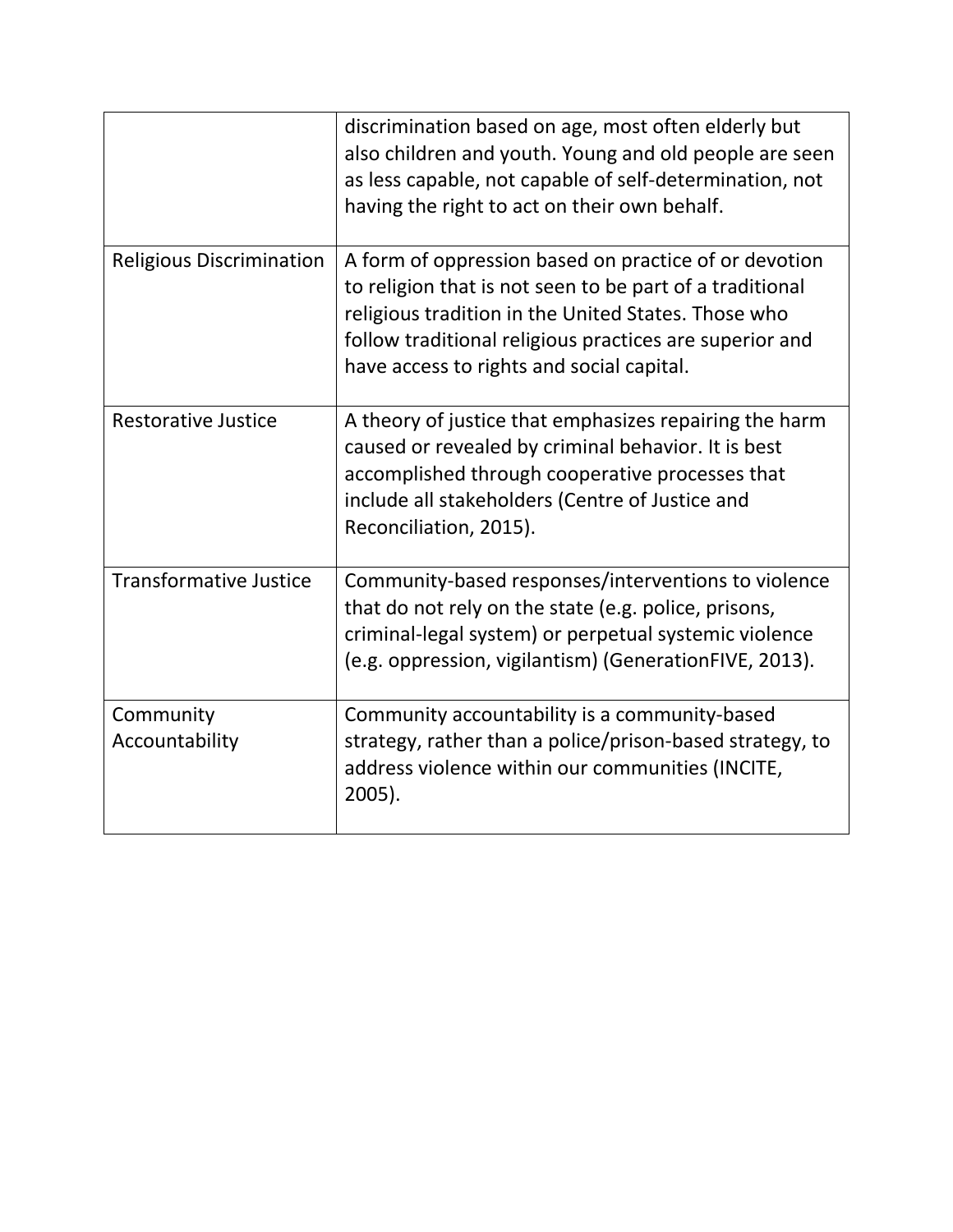|                                 | discrimination based on age, most often elderly but<br>also children and youth. Young and old people are seen<br>as less capable, not capable of self-determination, not<br>having the right to act on their own behalf.                                                         |
|---------------------------------|----------------------------------------------------------------------------------------------------------------------------------------------------------------------------------------------------------------------------------------------------------------------------------|
| <b>Religious Discrimination</b> | A form of oppression based on practice of or devotion<br>to religion that is not seen to be part of a traditional<br>religious tradition in the United States. Those who<br>follow traditional religious practices are superior and<br>have access to rights and social capital. |
| <b>Restorative Justice</b>      | A theory of justice that emphasizes repairing the harm<br>caused or revealed by criminal behavior. It is best<br>accomplished through cooperative processes that<br>include all stakeholders (Centre of Justice and<br>Reconciliation, 2015).                                    |
| <b>Transformative Justice</b>   | Community-based responses/interventions to violence<br>that do not rely on the state (e.g. police, prisons,<br>criminal-legal system) or perpetual systemic violence<br>(e.g. oppression, vigilantism) (GenerationFIVE, 2013).                                                   |
| Community<br>Accountability     | Community accountability is a community-based<br>strategy, rather than a police/prison-based strategy, to<br>address violence within our communities (INCITE,<br>2005).                                                                                                          |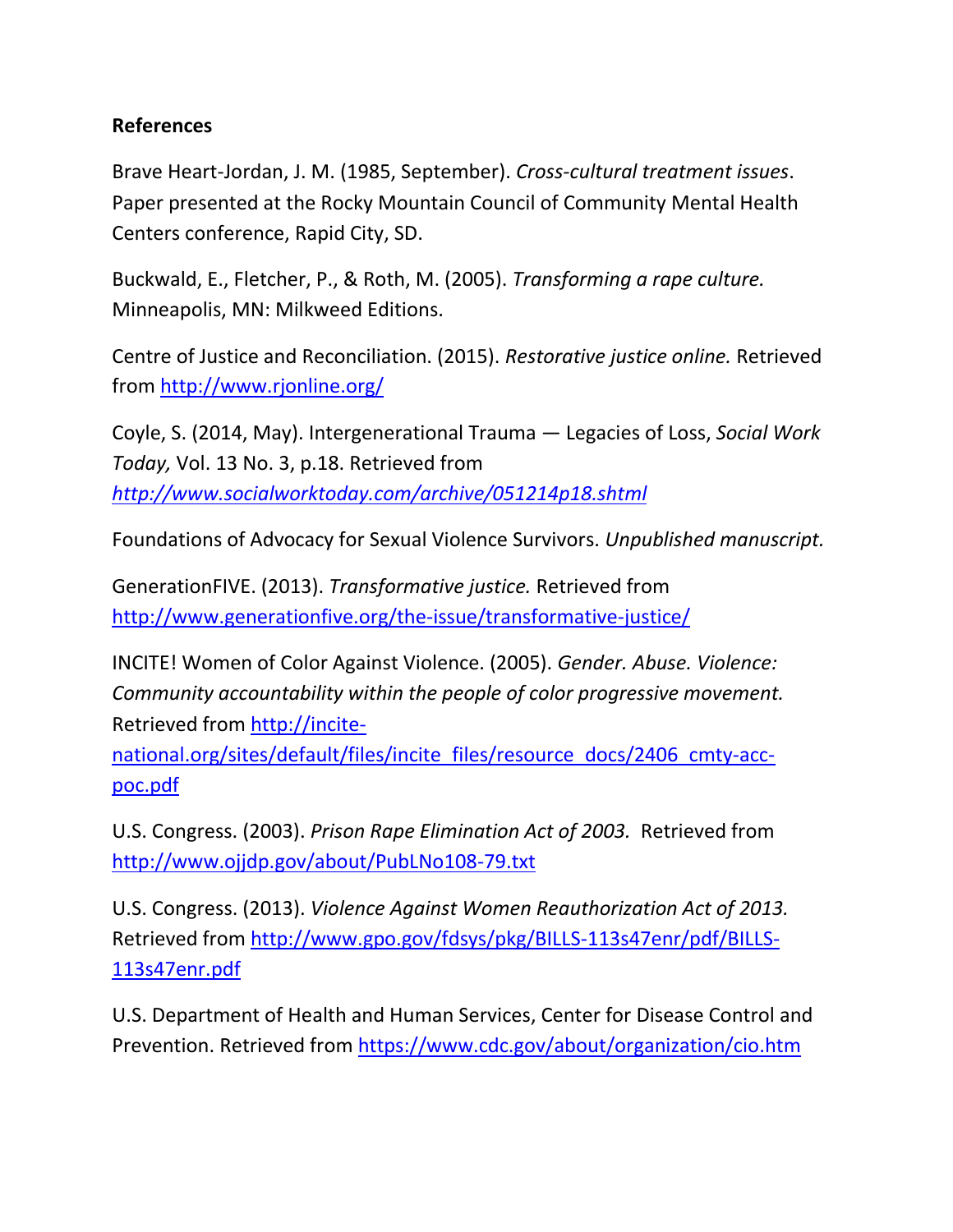## **References**

Brave Heart-Jordan, J. M. (1985, September). *Cross-cultural treatment issues*. Paper presented at the Rocky Mountain Council of Community Mental Health Centers conference, Rapid City, SD.

Buckwald, E., Fletcher, P., & Roth, M. (2005). *Transforming a rape culture.* Minneapolis, MN: Milkweed Editions.

Centre of Justice and Reconciliation. (2015). *Restorative justice online.* Retrieved from<http://www.rjonline.org/>

Coyle, S. (2014, May). Intergenerational Trauma — Legacies of Loss, *Social Work Today,* Vol. 13 No. 3, p.18. Retrieved from *<http://www.socialworktoday.com/archive/051214p18.shtml>*

Foundations of Advocacy for Sexual Violence Survivors. *Unpublished manuscript.*

GenerationFIVE. (2013). *Transformative justice.* Retrieved from <http://www.generationfive.org/the-issue/transformative-justice/>

INCITE! Women of Color Against Violence. (2005). *Gender. Abuse. Violence: Community accountability within the people of color progressive movement.*  Retrieved from [http://incite-](http://incite-national.org/sites/default/files/incite_files/resource_docs/2406_cmty-acc-poc.pdf)

[national.org/sites/default/files/incite\\_files/resource\\_docs/2406\\_cmty-acc](http://incite-national.org/sites/default/files/incite_files/resource_docs/2406_cmty-acc-poc.pdf)[poc.pdf](http://incite-national.org/sites/default/files/incite_files/resource_docs/2406_cmty-acc-poc.pdf)

U.S. Congress. (2003). *Prison Rape Elimination Act of 2003.* Retrieved from <http://www.ojjdp.gov/about/PubLNo108-79.txt>

U.S. Congress. (2013). *Violence Against Women Reauthorization Act of 2013.*  Retrieved from [http://www.gpo.gov/fdsys/pkg/BILLS-113s47enr/pdf/BILLS-](http://www.gpo.gov/fdsys/pkg/BILLS-113s47enr/pdf/BILLS-113s47enr.pdf)[113s47enr.pdf](http://www.gpo.gov/fdsys/pkg/BILLS-113s47enr/pdf/BILLS-113s47enr.pdf)

U.S. Department of Health and Human Services, Center for Disease Control and Prevention. Retrieved from<https://www.cdc.gov/about/organization/cio.htm>